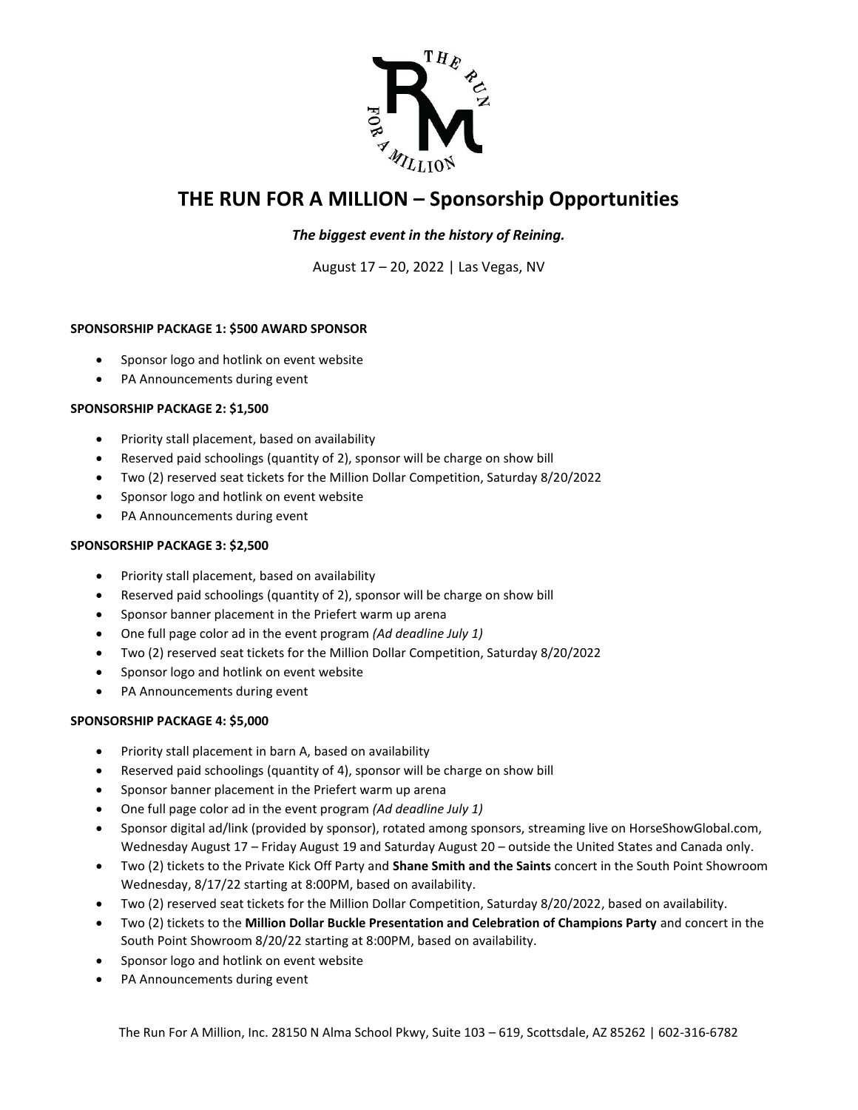

# **THE RUN FOR A MILLION – Sponsorship Opportunities**

### *The biggest event in the history of Reining.*

August 17 – 20, 2022 | Las Vegas, NV

#### **SPONSORSHIP PACKAGE 1: \$500 AWARD SPONSOR**

- Sponsor logo and hotlink on event website
- PA Announcements during event

#### **SPONSORSHIP PACKAGE 2: \$1,500**

- Priority stall placement, based on availability
- Reserved paid schoolings (quantity of 2), sponsor will be charge on show bill
- Two (2) reserved seat tickets for the Million Dollar Competition, Saturday 8/20/2022
- Sponsor logo and hotlink on event website
- PA Announcements during event

#### **SPONSORSHIP PACKAGE 3: \$2,500**

- Priority stall placement, based on availability
- Reserved paid schoolings (quantity of 2), sponsor will be charge on show bill
- Sponsor banner placement in the Priefert warm up arena
- One full page color ad in the event program *(Ad deadline July 1)*
- Two (2) reserved seat tickets for the Million Dollar Competition, Saturday 8/20/2022
- Sponsor logo and hotlink on event website
- PA Announcements during event

#### **SPONSORSHIP PACKAGE 4: \$5,000**

- Priority stall placement in barn A, based on availability
- Reserved paid schoolings (quantity of 4), sponsor will be charge on show bill
- Sponsor banner placement in the Priefert warm up arena
- One full page color ad in the event program *(Ad deadline July 1)*
- Sponsor digital ad/link (provided by sponsor), rotated among sponsors, streaming live on HorseShowGlobal.com, Wednesday August 17 – Friday August 19 and Saturday August 20 – outside the United States and Canada only.
- Two (2) tickets to the Private Kick Off Party and **Shane Smith and the Saints** concert in the South Point Showroom Wednesday, 8/17/22 starting at 8:00PM, based on availability.
- Two (2) reserved seat tickets for the Million Dollar Competition, Saturday 8/20/2022, based on availability.
- Two (2) tickets to the **Million Dollar Buckle Presentation and Celebration of Champions Party** and concert in the South Point Showroom 8/20/22 starting at 8:00PM, based on availability.
- Sponsor logo and hotlink on event website
- PA Announcements during event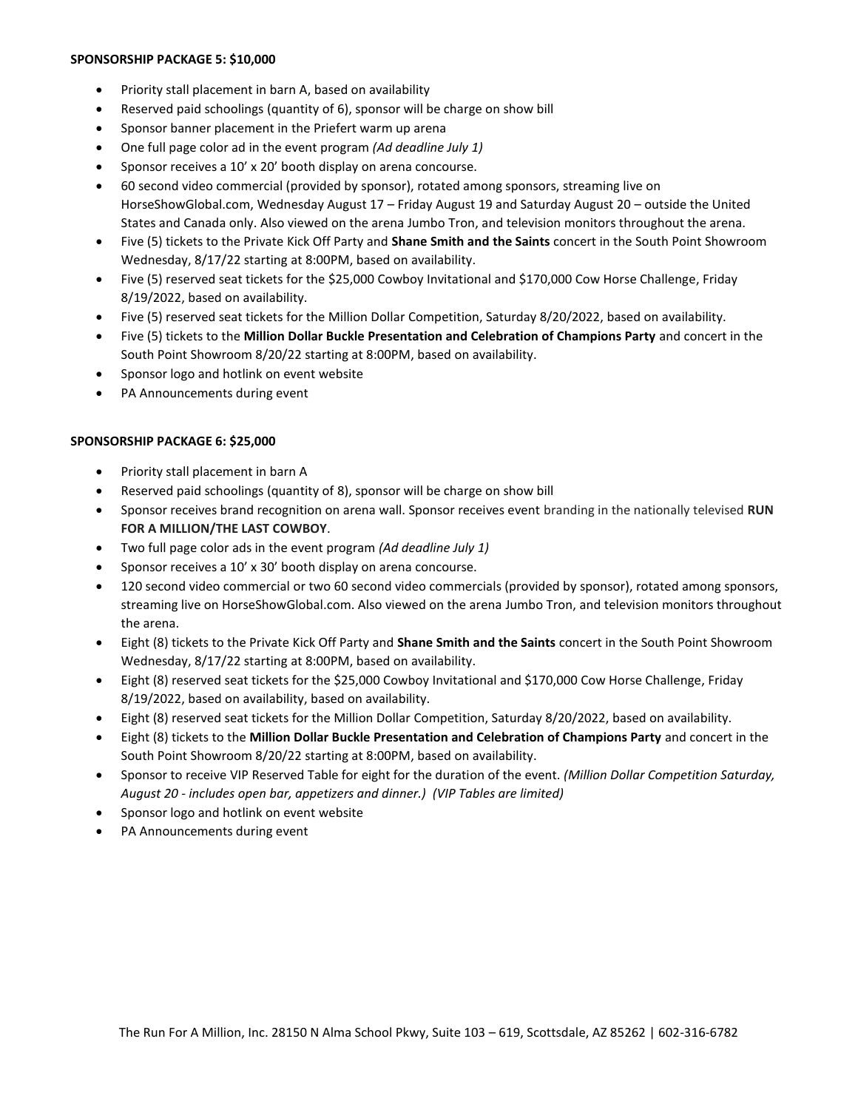#### **SPONSORSHIP PACKAGE 5: \$10,000**

- Priority stall placement in barn A, based on availability
- Reserved paid schoolings (quantity of 6), sponsor will be charge on show bill
- Sponsor banner placement in the Priefert warm up arena
- One full page color ad in the event program *(Ad deadline July 1)*
- Sponsor receives a 10' x 20' booth display on arena concourse.
- 60 second video commercial (provided by sponsor), rotated among sponsors, streaming live on HorseShowGlobal.com, Wednesday August 17 – Friday August 19 and Saturday August 20 – outside the United States and Canada only. Also viewed on the arena Jumbo Tron, and television monitors throughout the arena.
- Five (5) tickets to the Private Kick Off Party and **Shane Smith and the Saints** concert in the South Point Showroom Wednesday, 8/17/22 starting at 8:00PM, based on availability.
- Five (5) reserved seat tickets for the \$25,000 Cowboy Invitational and \$170,000 Cow Horse Challenge, Friday 8/19/2022, based on availability.
- Five (5) reserved seat tickets for the Million Dollar Competition, Saturday 8/20/2022, based on availability.
- Five (5) tickets to the **Million Dollar Buckle Presentation and Celebration of Champions Party** and concert in the South Point Showroom 8/20/22 starting at 8:00PM, based on availability.
- Sponsor logo and hotlink on event website
- PA Announcements during event

#### **SPONSORSHIP PACKAGE 6: \$25,000**

- Priority stall placement in barn A
- Reserved paid schoolings (quantity of 8), sponsor will be charge on show bill
- Sponsor receives brand recognition on arena wall. Sponsor receives event branding in the nationally televised **RUN FOR A MILLION/THE LAST COWBOY**.
- Two full page color ads in the event program *(Ad deadline July 1)*
- Sponsor receives a 10' x 30' booth display on arena concourse.
- 120 second video commercial or two 60 second video commercials (provided by sponsor), rotated among sponsors, streaming live on HorseShowGlobal.com. Also viewed on the arena Jumbo Tron, and television monitors throughout the arena.
- Eight (8) tickets to the Private Kick Off Party and **Shane Smith and the Saints** concert in the South Point Showroom Wednesday, 8/17/22 starting at 8:00PM, based on availability.
- Eight (8) reserved seat tickets for the \$25,000 Cowboy Invitational and \$170,000 Cow Horse Challenge, Friday 8/19/2022, based on availability, based on availability.
- Eight (8) reserved seat tickets for the Million Dollar Competition, Saturday 8/20/2022, based on availability.
- Eight (8) tickets to the **Million Dollar Buckle Presentation and Celebration of Champions Party** and concert in the South Point Showroom 8/20/22 starting at 8:00PM, based on availability.
- Sponsor to receive VIP Reserved Table for eight for the duration of the event. *(Million Dollar Competition Saturday, August 20 - includes open bar, appetizers and dinner.) (VIP Tables are limited)*
- Sponsor logo and hotlink on event website
- PA Announcements during event